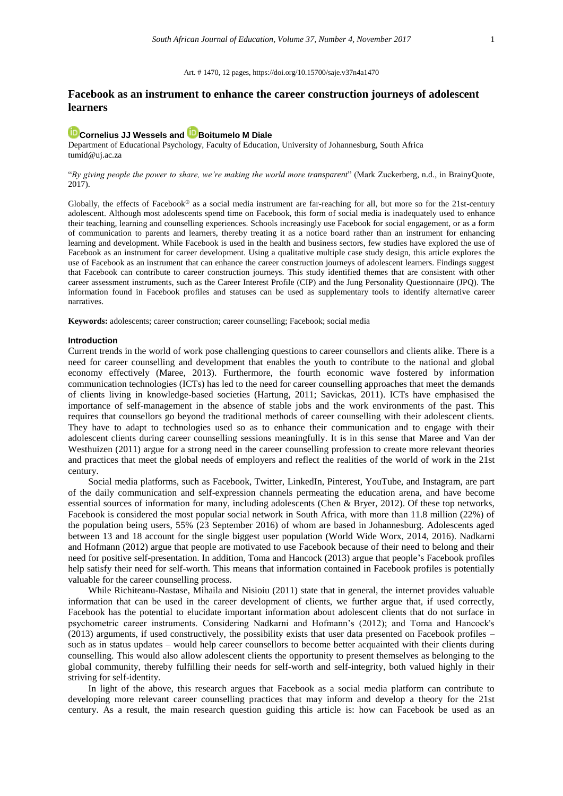## Art. # 1470, 12 pages[, https://doi.org/10.15700/saje.v37n4a1470](https://doi.org/10.15700/saje.v37n4a1470)

# **Facebook as an instrument to enhance the career construction journeys of adolescent learners**

# **[Cornelius JJ Wessels](http://orcid.org/0000-0002-5385-841X) and [Boitumelo M Diale](http://orcid.org/0000-0002-2007-4416)**

Department of Educational Psychology, Faculty of Education, University of Johannesburg, South Africa tumid@uj.ac.za

## "*By giving people the power to share, we're making the world more transparent*" (Mark Zuckerberg, n.d., in BrainyQuote, 2017).

Globally, the effects of Facebook® as a social media instrument are far-reaching for all, but more so for the 21st-century adolescent. Although most adolescents spend time on Facebook, this form of social media is inadequately used to enhance their teaching, learning and counselling experiences. Schools increasingly use Facebook for social engagement, or as a form of communication to parents and learners, thereby treating it as a notice board rather than an instrument for enhancing learning and development. While Facebook is used in the health and business sectors, few studies have explored the use of Facebook as an instrument for career development. Using a qualitative multiple case study design, this article explores the use of Facebook as an instrument that can enhance the career construction journeys of adolescent learners. Findings suggest that Facebook can contribute to career construction journeys. This study identified themes that are consistent with other career assessment instruments, such as the Career Interest Profile (CIP) and the Jung Personality Questionnaire (JPQ). The information found in Facebook profiles and statuses can be used as supplementary tools to identify alternative career narratives.

**Keywords:** adolescents; career construction; career counselling; Facebook; social media

#### **Introduction**

Current trends in the world of work pose challenging questions to career counsellors and clients alike. There is a need for career counselling and development that enables the youth to contribute to the national and global economy effectively (Maree, 2013). Furthermore, the fourth economic wave fostered by information communication technologies (ICTs) has led to the need for career counselling approaches that meet the demands of clients living in knowledge-based societies (Hartung, 2011; Savickas, 2011). ICTs have emphasised the importance of self-management in the absence of stable jobs and the work environments of the past. This requires that counsellors go beyond the traditional methods of career counselling with their adolescent clients. They have to adapt to technologies used so as to enhance their communication and to engage with their adolescent clients during career counselling sessions meaningfully. It is in this sense that Maree and Van der Westhuizen (2011) argue for a strong need in the career counselling profession to create more relevant theories and practices that meet the global needs of employers and reflect the realities of the world of work in the 21st century.

Social media platforms, such as Facebook, Twitter, LinkedIn, Pinterest, YouTube, and Instagram, are part of the daily communication and self-expression channels permeating the education arena, and have become essential sources of information for many, including adolescents (Chen & Bryer, 2012). Of these top networks, Facebook is considered the most popular social network in South Africa, with more than 11.8 million (22%) of the population being users, 55% (23 September 2016) of whom are based in Johannesburg. Adolescents aged between 13 and 18 account for the single biggest user population (World Wide Worx, 2014, 2016). Nadkarni and Hofmann (2012) argue that people are motivated to use Facebook because of their need to belong and their need for positive self-presentation. In addition, Toma and Hancock (2013) argue that people's Facebook profiles help satisfy their need for self-worth. This means that information contained in Facebook profiles is potentially valuable for the career counselling process.

While Richiteanu-Nastase, Mihaila and Nisioiu (2011) state that in general, the internet provides valuable information that can be used in the career development of clients, we further argue that, if used correctly, Facebook has the potential to elucidate important information about adolescent clients that do not surface in psychometric career instruments. Considering Nadkarni and Hofmann's (2012); and Toma and Hancock's (2013) arguments, if used constructively, the possibility exists that user data presented on Facebook profiles – such as in status updates – would help career counsellors to become better acquainted with their clients during counselling. This would also allow adolescent clients the opportunity to present themselves as belonging to the global community, thereby fulfilling their needs for self-worth and self-integrity, both valued highly in their striving for self-identity.

In light of the above, this research argues that Facebook as a social media platform can contribute to developing more relevant career counselling practices that may inform and develop a theory for the 21st century. As a result, the main research question guiding this article is: how can Facebook be used as an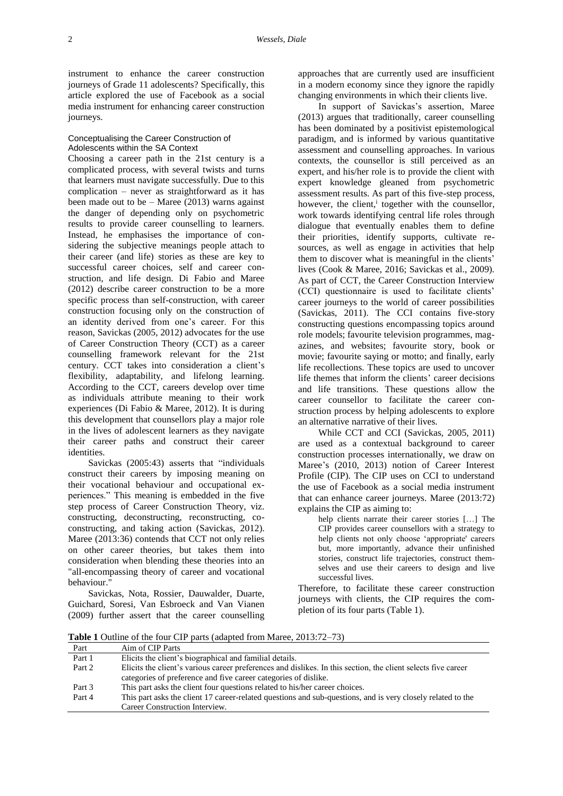instrument to enhance the career construction journeys of Grade 11 adolescents? Specifically, this article explored the use of Facebook as a social media instrument for enhancing career construction journeys.

## Conceptualising the Career Construction of Adolescents within the SA Context

Choosing a career path in the 21st century is a complicated process, with several twists and turns that learners must navigate successfully. Due to this complication – never as straightforward as it has been made out to be  $-$  Maree (2013) warns against the danger of depending only on psychometric results to provide career counselling to learners. Instead, he emphasises the importance of considering the subjective meanings people attach to their career (and life) stories as these are key to successful career choices, self and career construction, and life design. Di Fabio and Maree (2012) describe career construction to be a more specific process than self-construction, with career construction focusing only on the construction of an identity derived from one's career. For this reason, Savickas (2005, 2012) advocates for the use of Career Construction Theory (CCT) as a career counselling framework relevant for the 21st century. CCT takes into consideration a client's flexibility, adaptability, and lifelong learning. According to the CCT, careers develop over time as individuals attribute meaning to their work experiences (Di Fabio & Maree, 2012). It is during this development that counsellors play a major role in the lives of adolescent learners as they navigate their career paths and construct their career identities.

Savickas (2005:43) asserts that "individuals construct their careers by imposing meaning on their vocational behaviour and occupational experiences." This meaning is embedded in the five step process of Career Construction Theory, viz. constructing, deconstructing, reconstructing, coconstructing, and taking action (Savickas, 2012). Maree (2013:36) contends that CCT not only relies on other career theories, but takes them into consideration when blending these theories into an "all-encompassing theory of career and vocational behaviour."

Savickas, Nota, Rossier, Dauwalder, Duarte, Guichard, Soresi, Van Esbroeck and Van Vianen (2009) further assert that the career counselling approaches that are currently used are insufficient in a modern economy since they ignore the rapidly changing environments in which their clients live.

In support of Savickas's assertion, Maree (2013) argues that traditionally, career counselling has been dominated by a positivist epistemological paradigm, and is informed by various quantitative assessment and counselling approaches. In various contexts, the counsellor is still perceived as an expert, and his/her role is to provide the client with expert knowledge gleaned from psychometric assessment results. As part of this five-step process, however, the client,<sup>i</sup> together with the counsellor, work towards identifying central life roles through dialogue that eventually enables them to define their priorities, identify supports, cultivate resources, as well as engage in activities that help them to discover what is meaningful in the clients' lives (Cook & Maree, 2016; Savickas et al., 2009). As part of CCT, the Career Construction Interview (CCI) questionnaire is used to facilitate clients' career journeys to the world of career possibilities (Savickas, 2011). The CCI contains five-story constructing questions encompassing topics around role models; favourite television programmes, magazines, and websites; favourite story, book or movie; favourite saying or motto; and finally, early life recollections. These topics are used to uncover life themes that inform the clients' career decisions and life transitions. These questions allow the career counsellor to facilitate the career construction process by helping adolescents to explore an alternative narrative of their lives.

While CCT and CCI (Savickas, 2005, 2011) are used as a contextual background to career construction processes internationally, we draw on Maree's (2010, 2013) notion of Career Interest Profile (CIP). The CIP uses on CCI to understand the use of Facebook as a social media instrument that can enhance career journeys. Maree (2013:72) explains the CIP as aiming to:

help clients narrate their career stories […] The CIP provides career counsellors with a strategy to help clients not only choose 'appropriate' careers but, more importantly, advance their unfinished stories, construct life trajectories, construct themselves and use their careers to design and live successful lives.

Therefore, to facilitate these career construction journeys with clients, the CIP requires the completion of its four parts (Table 1).

**Table 1** Outline of the four CIP parts (adapted from Maree, 2013:72–73)

| Part   | Aim of CIP Parts                                                                                              |
|--------|---------------------------------------------------------------------------------------------------------------|
| Part 1 | Elicits the client's biographical and familial details.                                                       |
| Part 2 | Elicits the client's various career preferences and dislikes. In this section, the client selects five career |
|        | categories of preference and five career categories of dislike.                                               |
| Part 3 | This part asks the client four questions related to his/her career choices.                                   |
| Part 4 | This part asks the client 17 career-related questions and sub-questions, and is very closely related to the   |
|        | Career Construction Interview.                                                                                |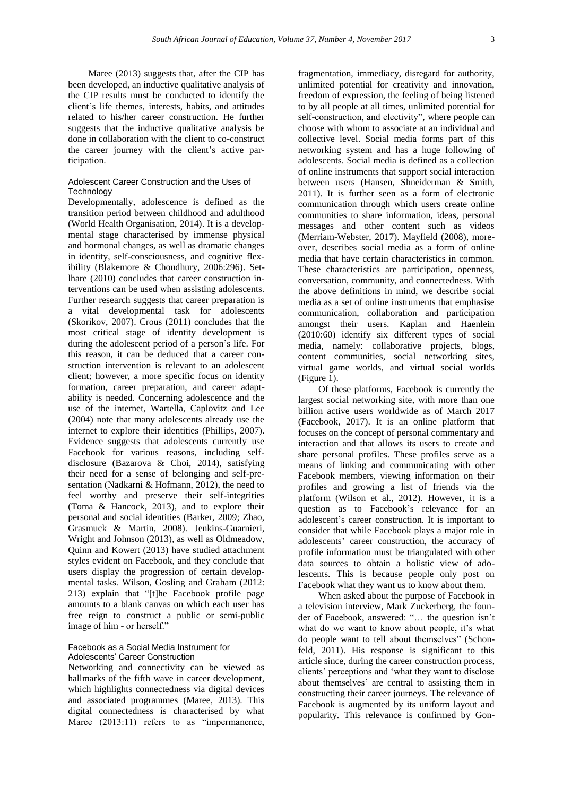Maree (2013) suggests that, after the CIP has been developed, an inductive qualitative analysis of the CIP results must be conducted to identify the client's life themes, interests, habits, and attitudes related to his/her career construction. He further suggests that the inductive qualitative analysis be done in collaboration with the client to co-construct the career journey with the client's active participation.

## Adolescent Career Construction and the Uses of **Technology**

Developmentally, adolescence is defined as the transition period between childhood and adulthood (World Health Organisation, 2014). It is a developmental stage characterised by immense physical and hormonal changes, as well as dramatic changes in identity, self-consciousness, and cognitive flexibility (Blakemore & Choudhury, 2006:296). Setlhare (2010) concludes that career construction interventions can be used when assisting adolescents. Further research suggests that career preparation is a vital developmental task for adolescents (Skorikov, 2007). Crous (2011) concludes that the most critical stage of identity development is during the adolescent period of a person's life. For this reason, it can be deduced that a career construction intervention is relevant to an adolescent client; however, a more specific focus on identity formation, career preparation, and career adaptability is needed. Concerning adolescence and the use of the internet, Wartella, Caplovitz and Lee (2004) note that many adolescents already use the internet to explore their identities (Phillips, 2007). Evidence suggests that adolescents currently use Facebook for various reasons, including selfdisclosure (Bazarova & Choi, 2014), satisfying their need for a sense of belonging and self-presentation (Nadkarni & Hofmann, 2012), the need to feel worthy and preserve their self-integrities (Toma & Hancock, 2013), and to explore their personal and social identities (Barker, 2009; Zhao, Grasmuck & Martin, 2008). Jenkins-Guarnieri, Wright and Johnson (2013), as well as Oldmeadow, Quinn and Kowert (2013) have studied attachment styles evident on Facebook, and they conclude that users display the progression of certain developmental tasks. Wilson, Gosling and Graham (2012: 213) explain that "[t]he Facebook profile page amounts to a blank canvas on which each user has free reign to construct a public or semi-public image of him - or herself."

## Facebook as a Social Media Instrument for Adolescents' Career Construction

Networking and connectivity can be viewed as hallmarks of the fifth wave in career development, which highlights connectedness via digital devices and associated programmes (Maree, 2013). This digital connectedness is characterised by what Maree (2013:11) refers to as "impermanence,

fragmentation, immediacy, disregard for authority, unlimited potential for creativity and innovation, freedom of expression, the feeling of being listened to by all people at all times, unlimited potential for self-construction, and electivity", where people can choose with whom to associate at an individual and collective level. Social media forms part of this networking system and has a huge following of adolescents. Social media is defined as a collection of online instruments that support social interaction between users (Hansen, Shneiderman & Smith, 2011). It is further seen as a form of electronic communication through which users create online communities to share information, ideas, personal messages and other content such as videos (Merriam-Webster, 2017). Mayfield (2008), moreover, describes social media as a form of online media that have certain characteristics in common. These characteristics are participation, openness, conversation, community, and connectedness. With the above definitions in mind, we describe social media as a set of online instruments that emphasise communication, collaboration and participation amongst their users. Kaplan and Haenlein (2010:60) identify six different types of social media, namely: collaborative projects, blogs, content communities, social networking sites, virtual game worlds, and virtual social worlds (Figure 1).

Of these platforms, Facebook is currently the largest social networking site, with more than one billion active users worldwide as of March 2017 (Facebook, 2017). It is an online platform that focuses on the concept of personal commentary and interaction and that allows its users to create and share personal profiles. These profiles serve as a means of linking and communicating with other Facebook members, viewing information on their profiles and growing a list of friends via the platform (Wilson et al., 2012). However, it is a question as to Facebook's relevance for an adolescent's career construction. It is important to consider that while Facebook plays a major role in adolescents' career construction, the accuracy of profile information must be triangulated with other data sources to obtain a holistic view of adolescents. This is because people only post on Facebook what they want us to know about them.

When asked about the purpose of Facebook in a television interview, Mark Zuckerberg, the founder of Facebook, answered: "… the question isn't what do we want to know about people, it's what do people want to tell about themselves" (Schonfeld, 2011). His response is significant to this article since, during the career construction process, clients' perceptions and 'what they want to disclose about themselves' are central to assisting them in constructing their career journeys. The relevance of Facebook is augmented by its uniform layout and popularity. This relevance is confirmed by Gon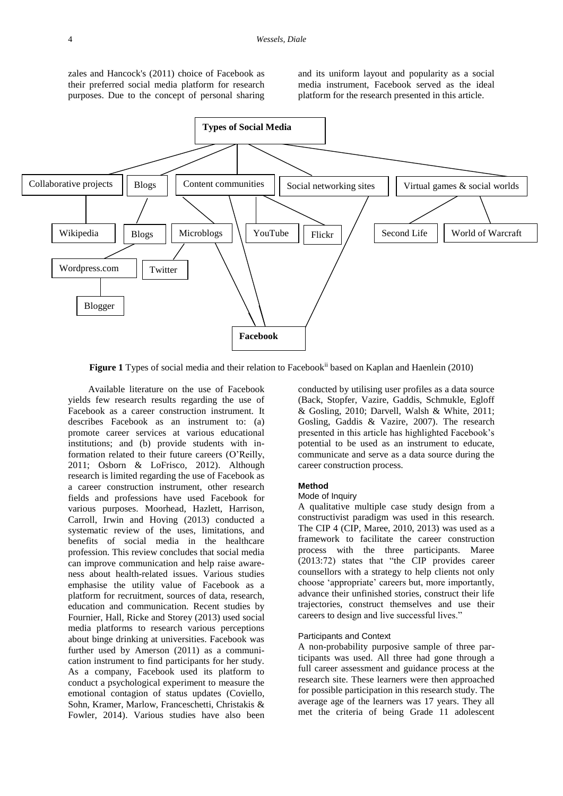zales and Hancock's (2011) choice of Facebook as their preferred social media platform for research purposes. Due to the concept of personal sharing

and its uniform layout and popularity as a social media instrument, Facebook served as the ideal platform for the research presented in this article.



Figure 1 Types of social media and their relation to Facebook<sup>ii</sup> based on Kaplan and Haenlein (2010)

Available literature on the use of Facebook yields few research results regarding the use of Facebook as a career construction instrument. It describes Facebook as an instrument to: (a) promote career services at various educational institutions; and (b) provide students with information related to their future careers (O'Reilly, 2011; Osborn & LoFrisco, 2012). Although research is limited regarding the use of Facebook as a career construction instrument, other research fields and professions have used Facebook for various purposes. Moorhead, Hazlett, Harrison, Carroll, Irwin and Hoving (2013) conducted a systematic review of the uses, limitations, and benefits of social media in the healthcare profession. This review concludes that social media can improve communication and help raise awareness about health-related issues. Various studies emphasise the utility value of Facebook as a platform for recruitment, sources of data, research, education and communication. Recent studies by Fournier, Hall, Ricke and Storey (2013) used social media platforms to research various perceptions about binge drinking at universities. Facebook was further used by Amerson (2011) as a communication instrument to find participants for her study. As a company, Facebook used its platform to conduct a psychological experiment to measure the emotional contagion of status updates (Coviello, Sohn, Kramer, Marlow, Franceschetti, Christakis & Fowler, 2014). Various studies have also been

conducted by utilising user profiles as a data source (Back, Stopfer, Vazire, Gaddis, Schmukle, Egloff & Gosling, 2010; Darvell, Walsh & White, 2011; Gosling, Gaddis & Vazire, 2007). The research presented in this article has highlighted Facebook's potential to be used as an instrument to educate, communicate and serve as a data source during the career construction process.

#### **Method**

## Mode of Inquiry

A qualitative multiple case study design from a constructivist paradigm was used in this research. The CIP 4 (CIP, Maree, 2010, 2013) was used as a framework to facilitate the career construction process with the three participants. Maree (2013:72) states that "the CIP provides career counsellors with a strategy to help clients not only choose 'appropriate' careers but, more importantly, advance their unfinished stories, construct their life trajectories, construct themselves and use their careers to design and live successful lives."

## Participants and Context

A non-probability purposive sample of three participants was used. All three had gone through a full career assessment and guidance process at the research site. These learners were then approached for possible participation in this research study. The average age of the learners was 17 years. They all met the criteria of being Grade 11 adolescent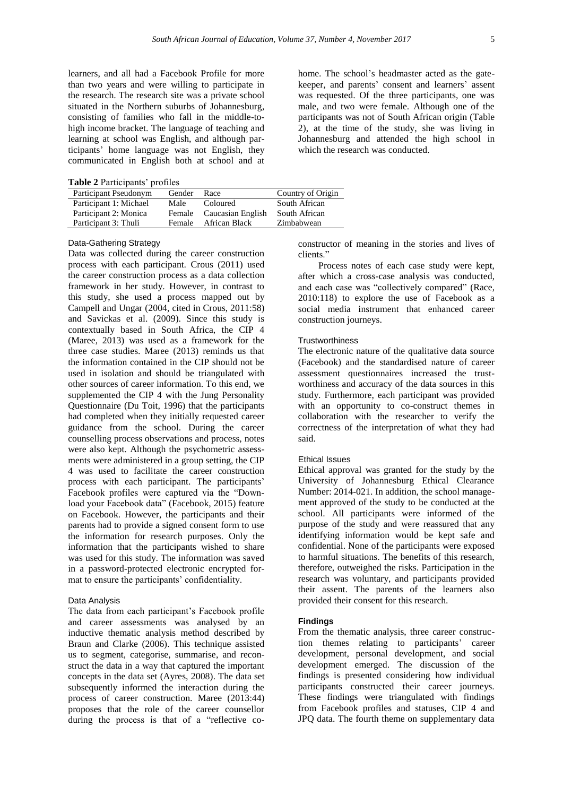learners, and all had a Facebook Profile for more than two years and were willing to participate in the research. The research site was a private school situated in the Northern suburbs of Johannesburg, consisting of families who fall in the middle-tohigh income bracket. The language of teaching and learning at school was English, and although participants' home language was not English, they communicated in English both at school and at

**Table 2** Participants' profiles

| Participant Pseudonym  | Gender | Race              | Country of Origin |
|------------------------|--------|-------------------|-------------------|
| Participant 1: Michael | Male   | Coloured          | South African     |
| Participant 2: Monica  | Female | Caucasian English | South African     |
| Participant 3: Thuli   | Female | African Black     | Zimbabwean        |

# Data-Gathering Strategy

Data was collected during the career construction process with each participant. Crous (2011) used the career construction process as a data collection framework in her study. However, in contrast to this study, she used a process mapped out by Campell and Ungar (2004, cited in Crous, 2011:58) and Savickas et al. (2009). Since this study is contextually based in South Africa, the CIP 4 (Maree, 2013) was used as a framework for the three case studies. Maree (2013) reminds us that the information contained in the CIP should not be used in isolation and should be triangulated with other sources of career information. To this end, we supplemented the CIP 4 with the Jung Personality Questionnaire (Du Toit, 1996) that the participants had completed when they initially requested career guidance from the school. During the career counselling process observations and process, notes were also kept. Although the psychometric assessments were administered in a group setting, the CIP 4 was used to facilitate the career construction process with each participant. The participants' Facebook profiles were captured via the "Download your Facebook data" (Facebook, 2015) feature on Facebook. However, the participants and their parents had to provide a signed consent form to use the information for research purposes. Only the information that the participants wished to share was used for this study. The information was saved in a password-protected electronic encrypted format to ensure the participants' confidentiality.

#### Data Analysis

The data from each participant's Facebook profile and career assessments was analysed by an inductive thematic analysis method described by Braun and Clarke (2006). This technique assisted us to segment, categorise, summarise, and reconstruct the data in a way that captured the important concepts in the data set (Ayres, 2008). The data set subsequently informed the interaction during the process of career construction. Maree (2013:44) proposes that the role of the career counsellor during the process is that of a "reflective cohome. The school's headmaster acted as the gatekeeper, and parents' consent and learners' assent was requested. Of the three participants, one was male, and two were female. Although one of the participants was not of South African origin (Table 2), at the time of the study, she was living in Johannesburg and attended the high school in which the research was conducted.

constructor of meaning in the stories and lives of clients."

Process notes of each case study were kept, after which a cross-case analysis was conducted, and each case was "collectively compared" (Race, 2010:118) to explore the use of Facebook as a social media instrument that enhanced career construction journeys.

## **Trustworthiness**

The electronic nature of the qualitative data source (Facebook) and the standardised nature of career assessment questionnaires increased the trustworthiness and accuracy of the data sources in this study. Furthermore, each participant was provided with an opportunity to co-construct themes in collaboration with the researcher to verify the correctness of the interpretation of what they had said.

## Ethical Issues

Ethical approval was granted for the study by the University of Johannesburg Ethical Clearance Number: 2014-021. In addition, the school management approved of the study to be conducted at the school. All participants were informed of the purpose of the study and were reassured that any identifying information would be kept safe and confidential. None of the participants were exposed to harmful situations. The benefits of this research, therefore, outweighed the risks. Participation in the research was voluntary, and participants provided their assent. The parents of the learners also provided their consent for this research.

#### **Findings**

From the thematic analysis, three career construction themes relating to participants' career development, personal development, and social development emerged. The discussion of the findings is presented considering how individual participants constructed their career journeys. These findings were triangulated with findings from Facebook profiles and statuses, CIP 4 and JPQ data. The fourth theme on supplementary data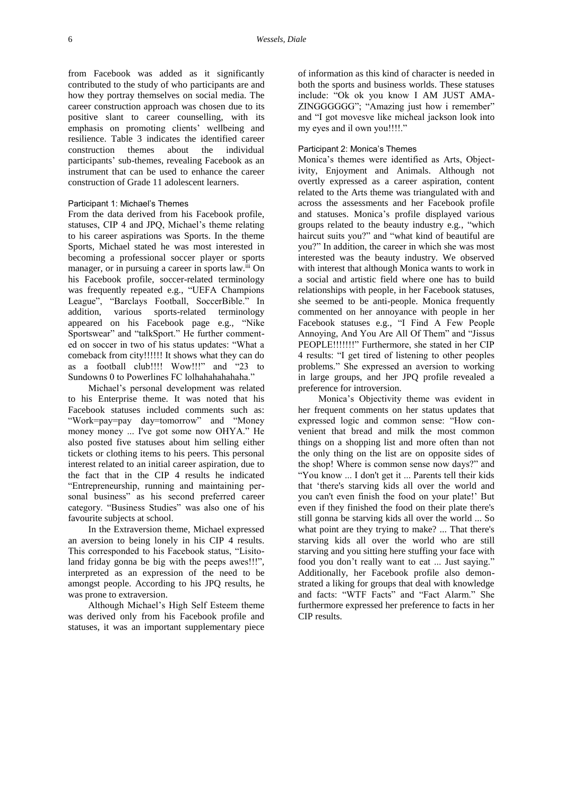from Facebook was added as it significantly contributed to the study of who participants are and how they portray themselves on social media. The career construction approach was chosen due to its positive slant to career counselling, with its emphasis on promoting clients' wellbeing and resilience. Table 3 indicates the identified career construction themes about the individual participants' sub-themes, revealing Facebook as an instrument that can be used to enhance the career construction of Grade 11 adolescent learners.

#### Participant 1: Michael's Themes

From the data derived from his Facebook profile, statuses, CIP 4 and JPQ, Michael's theme relating to his career aspirations was Sports. In the theme Sports, Michael stated he was most interested in becoming a professional soccer player or sports manager, or in pursuing a career in sports law.<sup>iii</sup> On his Facebook profile, soccer-related terminology was frequently repeated e.g., "UEFA Champions League", "Barclays Football, SoccerBible." In addition, various sports-related terminology appeared on his Facebook page e.g., "Nike Sportswear" and "talkSport." He further commented on soccer in two of his status updates: "What a comeback from city!!!!!! It shows what they can do as a football club!!!! Wow!!!" and "23 to Sundowns 0 to Powerlines FC lolhahahahahaha."

Michael's personal development was related to his Enterprise theme. It was noted that his Facebook statuses included comments such as: "Work=pay=pay day=tomorrow" and "Money money money ... I've got some now OHYA." He also posted five statuses about him selling either tickets or clothing items to his peers. This personal interest related to an initial career aspiration, due to the fact that in the CIP 4 results he indicated "Entrepreneurship, running and maintaining personal business" as his second preferred career category. "Business Studies" was also one of his favourite subjects at school.

In the Extraversion theme, Michael expressed an aversion to being lonely in his CIP 4 results. This corresponded to his Facebook status, "Lisitoland friday gonna be big with the peeps awes!!!", interpreted as an expression of the need to be amongst people. According to his JPQ results, he was prone to extraversion.

Although Michael's High Self Esteem theme was derived only from his Facebook profile and statuses, it was an important supplementary piece of information as this kind of character is needed in both the sports and business worlds. These statuses include: "Ok ok you know I AM JUST AMA-ZINGGGGGG"; "Amazing just how i remember" and "I got movesve like micheal jackson look into my eyes and il own you!!!!."

# Participant 2: Monica's Themes

Monica's themes were identified as Arts, Objectivity, Enjoyment and Animals. Although not overtly expressed as a career aspiration, content related to the Arts theme was triangulated with and across the assessments and her Facebook profile and statuses. Monica's profile displayed various groups related to the beauty industry e.g., "which haircut suits you?" and "what kind of beautiful are you?" In addition, the career in which she was most interested was the beauty industry. We observed with interest that although Monica wants to work in a social and artistic field where one has to build relationships with people, in her Facebook statuses, she seemed to be anti-people. Monica frequently commented on her annoyance with people in her Facebook statuses e.g., "I Find A Few People Annoying, And You Are All Of Them" and "Jissus PEOPLE!!!!!!!" Furthermore, she stated in her CIP 4 results: "I get tired of listening to other peoples problems." She expressed an aversion to working in large groups, and her JPQ profile revealed a preference for introversion.

Monica's Objectivity theme was evident in her frequent comments on her status updates that expressed logic and common sense: "How convenient that bread and milk the most common things on a shopping list and more often than not the only thing on the list are on opposite sides of the shop! Where is common sense now days?" and "You know ... I don't get it ... Parents tell their kids that 'there's starving kids all over the world and you can't even finish the food on your plate!' But even if they finished the food on their plate there's still gonna be starving kids all over the world ... So what point are they trying to make? ... That there's starving kids all over the world who are still starving and you sitting here stuffing your face with food you don't really want to eat ... Just saying." Additionally, her Facebook profile also demonstrated a liking for groups that deal with knowledge and facts: "WTF Facts" and "Fact Alarm." She furthermore expressed her preference to facts in her CIP results.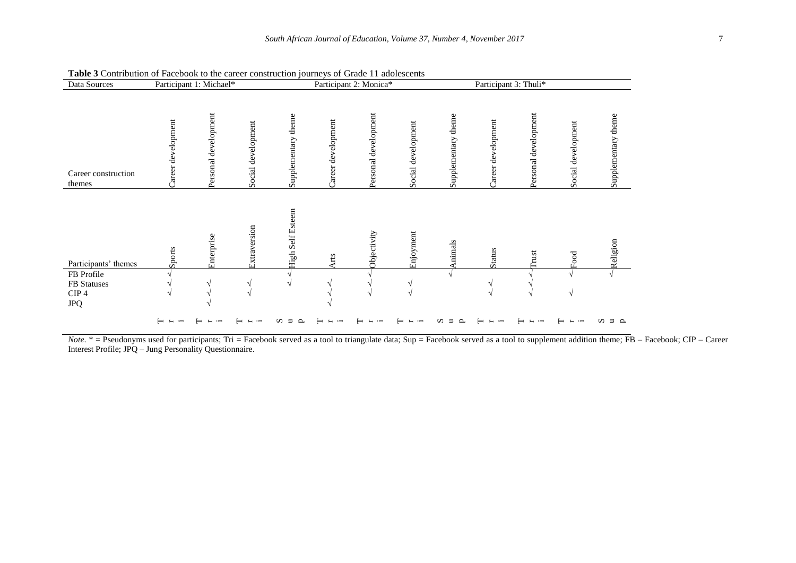| Data Sources<br>Participant 1: Michael*           |                    |                         | Participant 2: Monica* |                     |                              | Participant 3: Thuli*   |                    |                     |                    |                      |                    |                     |
|---------------------------------------------------|--------------------|-------------------------|------------------------|---------------------|------------------------------|-------------------------|--------------------|---------------------|--------------------|----------------------|--------------------|---------------------|
| Career construction<br>themes                     | Career development | development<br>Personal | Social development     | Supplementary theme | Career development           | Personal development    | Social development | Supplementary theme | Career development | Personal development | Social development | Supplementary theme |
| Participants' themes<br>FB Profile<br>FB Statuses | Sports             | Enterprise              | Extraversion<br>V      | High Self Esteem    | <b>Arts</b><br>$\mathcal{N}$ | <b>Objectivity</b><br>V | Enjoyment          | Animals             | <b>Status</b><br>٦ | Trust                | $_{\rm Food}$      | Religion            |
| $\rm CIP$ 4<br><b>JPQ</b>                         | V<br>$\vdash$      |                         | $\sqrt{ }$             | ᄇ<br>≏              | $\mathcal{N}$                | $\sqrt{ }$              |                    | ◠                   | $\sqrt{}$          | $\sqrt{ }$           | V                  | $\sim$<br>∍<br>s    |

**Table 3** Contribution of Facebook to the career construction journeys of Grade 11 adolescents

*Note*. \* = Pseudonyms used for participants; Tri = Facebook served as a tool to triangulate data; Sup = Facebook served as a tool to supplement addition theme; FB – Facebook; CIP – Career Interest Profile; JPQ – Jung Personality Questionnaire.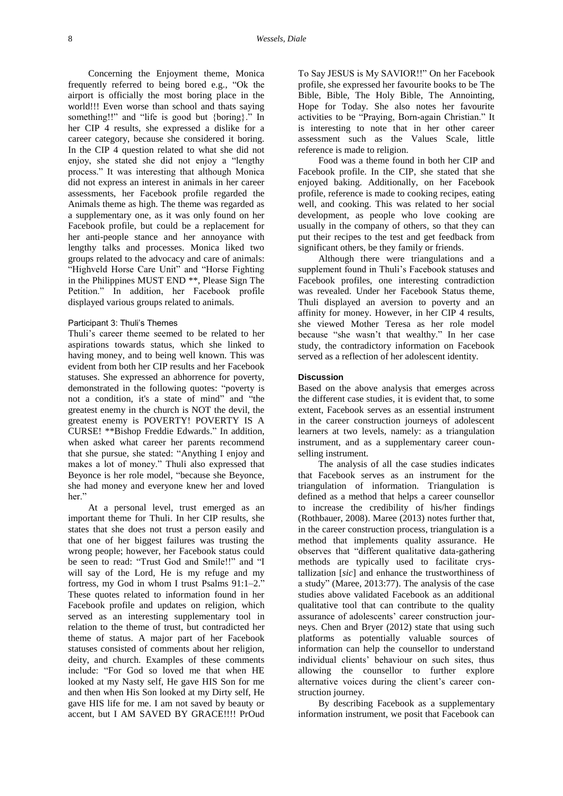Concerning the Enjoyment theme, Monica frequently referred to being bored e.g., "Ok the airport is officially the most boring place in the world!!! Even worse than school and thats saying something!!" and "life is good but {boring}." In her CIP 4 results, she expressed a dislike for a career category, because she considered it boring. In the CIP 4 question related to what she did not enjoy, she stated she did not enjoy a "lengthy process." It was interesting that although Monica did not express an interest in animals in her career assessments, her Facebook profile regarded the Animals theme as high. The theme was regarded as a supplementary one, as it was only found on her Facebook profile, but could be a replacement for her anti-people stance and her annoyance with lengthy talks and processes. Monica liked two groups related to the advocacy and care of animals: "Highveld Horse Care Unit" and "Horse Fighting in the Philippines MUST END \*\*, Please Sign The Petition." In addition, her Facebook profile displayed various groups related to animals.

#### Participant 3: Thuli's Themes

Thuli's career theme seemed to be related to her aspirations towards status, which she linked to having money, and to being well known. This was evident from both her CIP results and her Facebook statuses. She expressed an abhorrence for poverty, demonstrated in the following quotes: "poverty is not a condition, it's a state of mind" and "the greatest enemy in the church is NOT the devil, the greatest enemy is POVERTY! POVERTY IS A CURSE! \*\*Bishop Freddie Edwards." In addition, when asked what career her parents recommend that she pursue, she stated: "Anything I enjoy and makes a lot of money." Thuli also expressed that Beyonce is her role model, "because she Beyonce, she had money and everyone knew her and loved her."

At a personal level, trust emerged as an important theme for Thuli. In her CIP results, she states that she does not trust a person easily and that one of her biggest failures was trusting the wrong people; however, her Facebook status could be seen to read: "Trust God and Smile!!" and "I will say of the Lord, He is my refuge and my fortress, my God in whom I trust Psalms 91:1–2." These quotes related to information found in her Facebook profile and updates on religion, which served as an interesting supplementary tool in relation to the theme of trust, but contradicted her theme of status. A major part of her Facebook statuses consisted of comments about her religion, deity, and church. Examples of these comments include: "For God so loved me that when HE looked at my Nasty self, He gave HIS Son for me and then when His Son looked at my Dirty self, He gave HIS life for me. I am not saved by beauty or accent, but I AM SAVED BY GRACE!!!! PrOud

To Say JESUS is My SAVIOR!!" On her Facebook profile, she expressed her favourite books to be The Bible, Bible, The Holy Bible, The Annointing, Hope for Today. She also notes her favourite activities to be "Praying, Born-again Christian." It is interesting to note that in her other career assessment such as the Values Scale, little reference is made to religion.

Food was a theme found in both her CIP and Facebook profile. In the CIP, she stated that she enjoyed baking. Additionally, on her Facebook profile, reference is made to cooking recipes, eating well, and cooking. This was related to her social development, as people who love cooking are usually in the company of others, so that they can put their recipes to the test and get feedback from significant others, be they family or friends.

Although there were triangulations and a supplement found in Thuli's Facebook statuses and Facebook profiles, one interesting contradiction was revealed. Under her Facebook Status theme, Thuli displayed an aversion to poverty and an affinity for money. However, in her CIP 4 results, she viewed Mother Teresa as her role model because "she wasn't that wealthy." In her case study, the contradictory information on Facebook served as a reflection of her adolescent identity.

## **Discussion**

Based on the above analysis that emerges across the different case studies, it is evident that, to some extent, Facebook serves as an essential instrument in the career construction journeys of adolescent learners at two levels, namely: as a triangulation instrument, and as a supplementary career counselling instrument.

The analysis of all the case studies indicates that Facebook serves as an instrument for the triangulation of information. Triangulation is defined as a method that helps a career counsellor to increase the credibility of his/her findings (Rothbauer, 2008). Maree (2013) notes further that, in the career construction process, triangulation is a method that implements quality assurance. He observes that "different qualitative data-gathering methods are typically used to facilitate crystallization [*sic*] and enhance the trustworthiness of a study" (Maree, 2013:77). The analysis of the case studies above validated Facebook as an additional qualitative tool that can contribute to the quality assurance of adolescents' career construction journeys. Chen and Bryer (2012) state that using such platforms as potentially valuable sources of information can help the counsellor to understand individual clients' behaviour on such sites, thus allowing the counsellor to further explore alternative voices during the client's career construction journey.

By describing Facebook as a supplementary information instrument, we posit that Facebook can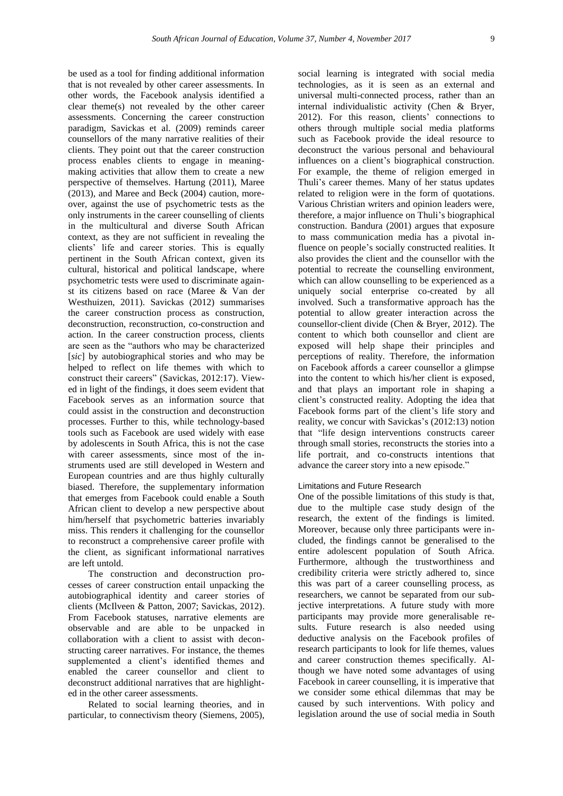be used as a tool for finding additional information that is not revealed by other career assessments. In other words, the Facebook analysis identified a clear theme(s) not revealed by the other career assessments. Concerning the career construction paradigm, Savickas et al. (2009) reminds career counsellors of the many narrative realities of their clients. They point out that the career construction process enables clients to engage in meaningmaking activities that allow them to create a new perspective of themselves. Hartung (2011), Maree (2013), and Maree and Beck (2004) caution, moreover, against the use of psychometric tests as the only instruments in the career counselling of clients in the multicultural and diverse South African context, as they are not sufficient in revealing the clients' life and career stories. This is equally pertinent in the South African context, given its cultural, historical and political landscape, where psychometric tests were used to discriminate against its citizens based on race (Maree & Van der Westhuizen, 2011). Savickas (2012) summarises the career construction process as construction, deconstruction, reconstruction, co-construction and action. In the career construction process, clients are seen as the "authors who may be characterized [*sic*] by autobiographical stories and who may be helped to reflect on life themes with which to construct their careers" (Savickas, 2012:17). Viewed in light of the findings, it does seem evident that Facebook serves as an information source that could assist in the construction and deconstruction processes. Further to this, while technology-based tools such as Facebook are used widely with ease by adolescents in South Africa, this is not the case with career assessments, since most of the instruments used are still developed in Western and European countries and are thus highly culturally biased. Therefore, the supplementary information that emerges from Facebook could enable a South African client to develop a new perspective about him/herself that psychometric batteries invariably miss. This renders it challenging for the counsellor to reconstruct a comprehensive career profile with the client, as significant informational narratives are left untold.

The construction and deconstruction processes of career construction entail unpacking the autobiographical identity and career stories of clients (McIlveen & Patton, 2007; Savickas, 2012). From Facebook statuses, narrative elements are observable and are able to be unpacked in collaboration with a client to assist with deconstructing career narratives. For instance, the themes supplemented a client's identified themes and enabled the career counsellor and client to deconstruct additional narratives that are highlighted in the other career assessments.

Related to social learning theories, and in particular, to connectivism theory (Siemens, 2005),

social learning is integrated with social media technologies, as it is seen as an external and universal multi-connected process, rather than an internal individualistic activity (Chen & Bryer, 2012). For this reason, clients' connections to others through multiple social media platforms such as Facebook provide the ideal resource to deconstruct the various personal and behavioural influences on a client's biographical construction. For example, the theme of religion emerged in Thuli's career themes. Many of her status updates related to religion were in the form of quotations. Various Christian writers and opinion leaders were, therefore, a major influence on Thuli's biographical construction. Bandura (2001) argues that exposure to mass communication media has a pivotal influence on people's socially constructed realities. It also provides the client and the counsellor with the potential to recreate the counselling environment, which can allow counselling to be experienced as a uniquely social enterprise co-created by all involved. Such a transformative approach has the potential to allow greater interaction across the counsellor-client divide (Chen & Bryer, 2012). The content to which both counsellor and client are exposed will help shape their principles and perceptions of reality. Therefore, the information on Facebook affords a career counsellor a glimpse into the content to which his/her client is exposed, and that plays an important role in shaping a client's constructed reality. Adopting the idea that Facebook forms part of the client's life story and reality, we concur with Savickas's (2012:13) notion that "life design interventions constructs career through small stories, reconstructs the stories into a life portrait, and co-constructs intentions that advance the career story into a new episode."

#### Limitations and Future Research

One of the possible limitations of this study is that, due to the multiple case study design of the research, the extent of the findings is limited. Moreover, because only three participants were included, the findings cannot be generalised to the entire adolescent population of South Africa. Furthermore, although the trustworthiness and credibility criteria were strictly adhered to, since this was part of a career counselling process, as researchers, we cannot be separated from our subjective interpretations. A future study with more participants may provide more generalisable results. Future research is also needed using deductive analysis on the Facebook profiles of research participants to look for life themes, values and career construction themes specifically. Although we have noted some advantages of using Facebook in career counselling, it is imperative that we consider some ethical dilemmas that may be caused by such interventions. With policy and legislation around the use of social media in South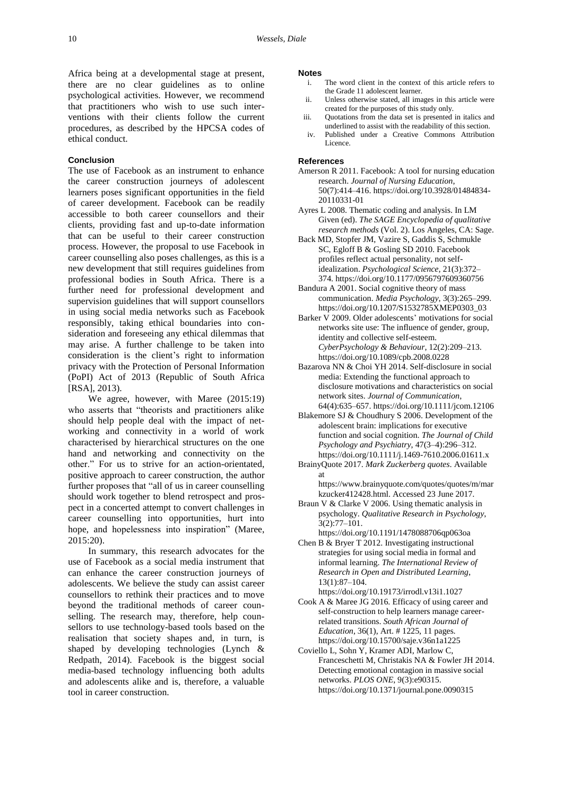Africa being at a developmental stage at present, there are no clear guidelines as to online psychological activities. However, we recommend that practitioners who wish to use such interventions with their clients follow the current procedures, as described by the HPCSA codes of ethical conduct.

# **Conclusion**

The use of Facebook as an instrument to enhance the career construction journeys of adolescent learners poses significant opportunities in the field of career development. Facebook can be readily accessible to both career counsellors and their clients, providing fast and up-to-date information that can be useful to their career construction process. However, the proposal to use Facebook in career counselling also poses challenges, as this is a new development that still requires guidelines from professional bodies in South Africa. There is a further need for professional development and supervision guidelines that will support counsellors in using social media networks such as Facebook responsibly, taking ethical boundaries into consideration and foreseeing any ethical dilemmas that may arise. A further challenge to be taken into consideration is the client's right to information privacy with the Protection of Personal Information (PoPI) Act of 2013 (Republic of South Africa [RSA], 2013).

We agree, however, with Maree (2015:19) who asserts that "theorists and practitioners alike should help people deal with the impact of networking and connectivity in a world of work characterised by hierarchical structures on the one hand and networking and connectivity on the other." For us to strive for an action-orientated, positive approach to career construction, the author further proposes that "all of us in career counselling should work together to blend retrospect and prospect in a concerted attempt to convert challenges in career counselling into opportunities, hurt into hope, and hopelessness into inspiration" (Maree, 2015:20).

In summary, this research advocates for the use of Facebook as a social media instrument that can enhance the career construction journeys of adolescents. We believe the study can assist career counsellors to rethink their practices and to move beyond the traditional methods of career counselling. The research may, therefore, help counsellors to use technology-based tools based on the realisation that society shapes and, in turn, is shaped by developing technologies (Lynch & Redpath, 2014). Facebook is the biggest social media-based technology influencing both adults and adolescents alike and is, therefore, a valuable tool in career construction.

#### **Notes**

- i. The word client in the context of this article refers to the Grade 11 adolescent learner.
- ii. Unless otherwise stated, all images in this article were created for the purposes of this study only.
- iii. Quotations from the data set is presented in italics and underlined to assist with the readability of this section.
- iv. Published under a Creative Commons Attribution Licence.

#### **References**

- Amerson R 2011. Facebook: A tool for nursing education research. *Journal of Nursing Education*, 50(7):414–416. [https://doi.org/10.3928/01484834-](https://doi.org/10.3928/01484834-20110331-01) [20110331-01](https://doi.org/10.3928/01484834-20110331-01)
- Ayres L 2008. Thematic coding and analysis. In LM Given (ed). *The SAGE Encyclopedia of qualitative research methods* (Vol. 2). Los Angeles, CA: Sage.
- Back MD, Stopfer JM, Vazire S, Gaddis S, Schmukle SC, Egloff B & Gosling SD 2010. Facebook profiles reflect actual personality, not selfidealization. *Psychological Science*, 21(3):372– 374[. https://doi.org/10.1177/0956797609360756](https://doi.org/10.1177/0956797609360756)
- Bandura A 2001. Social cognitive theory of mass communication. *Media Psychology*, 3(3):265–299. [https://doi.org/10.1207/S1532785XMEP0303\\_03](https://doi.org/10.1207/S1532785XMEP0303_03)
- Barker V 2009. Older adolescents' motivations for social networks site use: The influence of gender, group, identity and collective self-esteem. *CyberPsychology & Behaviour*, 12(2):209–213. <https://doi.org/10.1089/cpb.2008.0228>
- Bazarova NN & Choi YH 2014. Self-disclosure in social media: Extending the functional approach to disclosure motivations and characteristics on social network sites. *Journal of Communication*, 64(4):635–657[. https://doi.org/10.1111/jcom.12106](https://doi.org/10.1111/jcom.12106)
- Blakemore SJ & Choudhury S 2006. Development of the adolescent brain: implications for executive function and social cognition. *The Journal of Child Psychology and Psychiatry*, 47(3–4):296–312. <https://doi.org/10.1111/j.1469-7610.2006.01611.x>
- BrainyQuote 2017. *Mark Zuckerberg quotes*. Available at

[https://www.brainyquote.com/quotes/quotes/m/mar](https://www.brainyquote.com/quotes/quotes/m/markzucker412428.html) [kzucker412428.html.](https://www.brainyquote.com/quotes/quotes/m/markzucker412428.html) Accessed 23 June 2017.

- Braun V & Clarke V 2006. Using thematic analysis in psychology. *Qualitative Research in Psychology*,  $3(2):77-101.$
- <https://doi.org/10.1191/1478088706qp063oa> Chen B & Bryer T 2012. Investigating instructional strategies for using social media in formal and informal learning. *The International Review of Research in Open and Distributed Learning*, 13(1):87–104.

<https://doi.org/10.19173/irrodl.v13i1.1027>

- Cook A & Maree JG 2016. Efficacy of using career and self-construction to help learners manage careerrelated transitions. *South African Journal of Education*, 36(1), Art. # 1225, 11 pages. <https://doi.org/10.15700/saje.v36n1a1225>
- Coviello L, Sohn Y, Kramer ADI, Marlow C, Franceschetti M, Christakis NA & Fowler JH 2014. Detecting emotional contagion in massive social networks. *PLOS ONE*, 9(3):e90315. <https://doi.org/10.1371/journal.pone.0090315>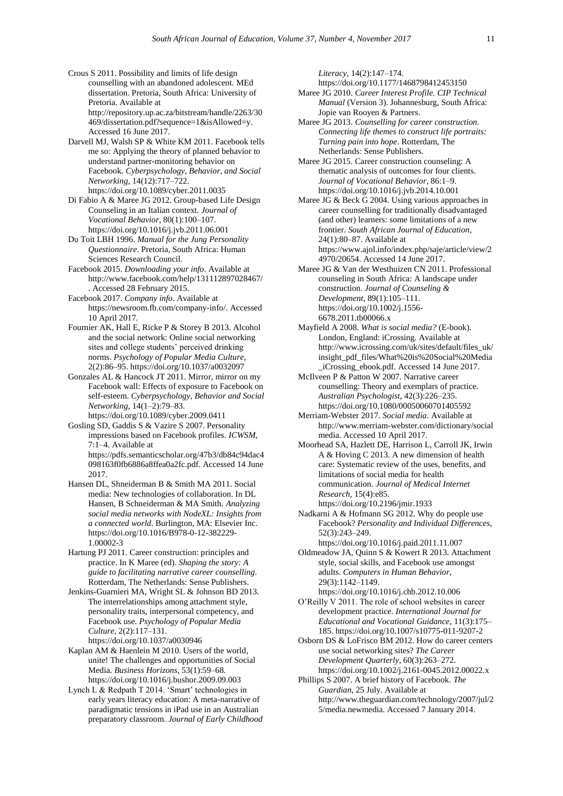- Crous S 2011. Possibility and limits of life design counselling with an abandoned adolescent. MEd dissertation. Pretoria, South Africa: University of Pretoria. Available at [http://repository.up.ac.za/bitstream/handle/2263/30](http://repository.up.ac.za/bitstream/handle/2263/30469/dissertation.pdf?sequence=1&isAllowed=y) [469/dissertation.pdf?sequence=1&isAllowed=y.](http://repository.up.ac.za/bitstream/handle/2263/30469/dissertation.pdf?sequence=1&isAllowed=y) Accessed 16 June 2017.
- Darvell MJ, Walsh SP & White KM 2011. Facebook tells me so: Applying the theory of planned behavior to understand partner-monitoring behavior on Facebook. *Cyberpsychology, Behavior, and Social Networking*, 14(12):717–722. <https://doi.org/10.1089/cyber.2011.0035>
- Di Fabio A & Maree JG 2012. Group-based Life Design Counseling in an Italian context. *Journal of Vocational Behavior*, 80(1):100–107. <https://doi.org/10.1016/j.jvb.2011.06.001>
- Du Toit LBH 1996. *Manual for the Jung Personality Questionnaire*. Pretoria, South Africa: Human Sciences Research Council.
- Facebook 2015. *Downloading your info*. Available at <http://www.facebook.com/help/131112897028467/> . Accessed 28 February 2015.
- Facebook 2017. *Company info*. Available at [https://newsroom.fb.com/company-info/.](https://newsroom.fb.com/company-info/) Accessed 10 April 2017.
- Fournier AK, Hall E, Ricke P & Storey B 2013. Alcohol and the social network: Online social networking sites and college students' perceived drinking norms. *Psychology of Popular Media Culture*, 2(2):86–95.<https://doi.org/10.1037/a0032097>
- Gonzales AL & Hancock JT 2011. Mirror, mirror on my Facebook wall: Effects of exposure to Facebook on self-esteem. *Cyberpsychology, Behavior and Social Networking*, 14(1–2):79–83. <https://doi.org/10.1089/cyber.2009.0411>
- Gosling SD, Gaddis S & Vazire S 2007. Personality impressions based on Facebook profiles. *ICWSM*, 7:1–4. Available at [https://pdfs.semanticscholar.org/47b3/db84c94dac4](https://pdfs.semanticscholar.org/47b3/db84c94dac4098163f0fb6886a8ffea0a2fc.pdf) [098163f0fb6886a8ffea0a2fc.pdf.](https://pdfs.semanticscholar.org/47b3/db84c94dac4098163f0fb6886a8ffea0a2fc.pdf) Accessed 14 June 2017.
- Hansen DL, Shneiderman B & Smith MA 2011. Social media: New technologies of collaboration. In DL Hansen, B Schneiderman & MA Smith. *Analyzing social media networks with NodeXL: Insights from a connected world*. Burlington, MA: Elsevier Inc. [https://doi.org/10.1016/B978-0-12-382229-](https://doi.org/10.1016/B978-0-12-382229-1.00002-3) [1.00002-3](https://doi.org/10.1016/B978-0-12-382229-1.00002-3)
- Hartung PJ 2011. Career construction: principles and practice. In K Maree (ed). *Shaping the story: A guide to facilitating narrative career counselling*. Rotterdam, The Netherlands: Sense Publishers.
- Jenkins-Guarnieri MA, Wright SL & Johnson BD 2013. The interrelationships among attachment style, personality traits, interpersonal competency, and Facebook use. *Psychology of Popular Media Culture*, 2(2):117–131. <https://doi.org/10.1037/a0030946>
- Kaplan AM & Haenlein M 2010. Users of the world, unite! The challenges and opportunities of Social Media. *Business Horizons*, 53(1):59–68. <https://doi.org/10.1016/j.bushor.2009.09.003>
- Lynch L & Redpath T 2014. 'Smart' technologies in early years literacy education: A meta-narrative of paradigmatic tensions in iPad use in an Australian preparatory classroom. *Journal of Early Childhood*

*Literacy*, 14(2):147–174.

<https://doi.org/10.1177/1468798412453150>

- Maree JG 2010. *Career Interest Profile. CIP Technical Manual* (Version 3). Johannesburg, South Africa: Jopie van Rooyen & Partners.
- Maree JG 2013. *Counselling for career construction. Connecting life themes to construct life portraits: Turning pain into hope*. Rotterdam, The Netherlands: Sense Publishers.
- Maree JG 2015. Career construction counseling: A thematic analysis of outcomes for four clients. *Journal of Vocational Behavior*, 86:1–9. <https://doi.org/10.1016/j.jvb.2014.10.001>
- Maree JG & Beck G 2004. Using various approaches in career counselling for traditionally disadvantaged (and other) learners: some limitations of a new frontier. *South African Journal of Education*, 24(1):80–87. Available at [https://www.ajol.info/index.php/saje/article/view/2](https://www.ajol.info/index.php/saje/article/view/24970/20654) [4970/20654.](https://www.ajol.info/index.php/saje/article/view/24970/20654) Accessed 14 June 2017.
- Maree JG & Van der Westhuizen CN 2011. Professional counseling in South Africa: A landscape under construction. *Journal of Counseling & Development*, 89(1):105–111. [https://doi.org/10.1002/j.1556-](https://doi.org/10.1002/j.1556-6678.2011.tb00066.x) [6678.2011.tb00066.x](https://doi.org/10.1002/j.1556-6678.2011.tb00066.x)
- Mayfield A 2008. *What is social media?* (E-book). London, England: iCrossing. Available at [http://www.icrossing.com/uk/sites/default/files\\_uk/](http://www.icrossing.com/uk/sites/default/files_uk/insight_pdf_files/What%20is%20Social%20Media_iCrossing_ebook.pdf) [insight\\_pdf\\_files/What%20is%20Social%20Media](http://www.icrossing.com/uk/sites/default/files_uk/insight_pdf_files/What%20is%20Social%20Media_iCrossing_ebook.pdf) [\\_iCrossing\\_ebook.pdf.](http://www.icrossing.com/uk/sites/default/files_uk/insight_pdf_files/What%20is%20Social%20Media_iCrossing_ebook.pdf) Accessed 14 June 2017.
- McIlveen P & Patton W 2007. Narrative career counselling: Theory and exemplars of practice. *Australian Psychologist*, 42(3):226–235. <https://doi.org/10.1080/00050060701405592>
- Merriam-Webster 2017. *Social media*. Available at [http://www.merriam-webster.com/dictionary/social](http://www.merriam-webster.com/dictionary/social%20media)  [media.](http://www.merriam-webster.com/dictionary/social%20media) Accessed 10 April 2017.
- Moorhead SA, Hazlett DE, Harrison L, Carroll JK, Irwin A & Hoving C 2013. A new dimension of health care: Systematic review of the uses, benefits, and limitations of social media for health communication. *Journal of Medical Internet Research*, 15(4):e85. <https://doi.org/10.2196/jmir.1933>
- Nadkarni A & Hofmann SG 2012. Why do people use Facebook? *Personality and Individual Differences*, 52(3):243–249. <https://doi.org/10.1016/j.paid.2011.11.007>
- Oldmeadow JA, Quinn S & Kowert R 2013. Attachment style, social skills, and Facebook use amongst adults. *Computers in Human Behavior*, 29(3):1142–1149.
- <https://doi.org/10.1016/j.chb.2012.10.006> O'Reilly V 2011. The role of school websites in career development practice. *International Journal for Educational and Vocational Guidance*, 11(3):175– 185[. https://doi.org/10.1007/s10775-011-9207-2](https://doi.org/10.1007/s10775-011-9207-2)
- Osborn DS & LoFrisco BM 2012. How do career centers use social networking sites? *The Career Development Quarterly*, 60(3):263–272. <https://doi.org/10.1002/j.2161-0045.2012.00022.x>
- Phillips S 2007. A brief history of Facebook. *The Guardian*, 25 July. Available at [http://www.theguardian.com/technology/2007/jul/2](http://www.theguardian.com/technology/2007/jul/25/media.newmedia) [5/media.newmedia.](http://www.theguardian.com/technology/2007/jul/25/media.newmedia) Accessed 7 January 2014.